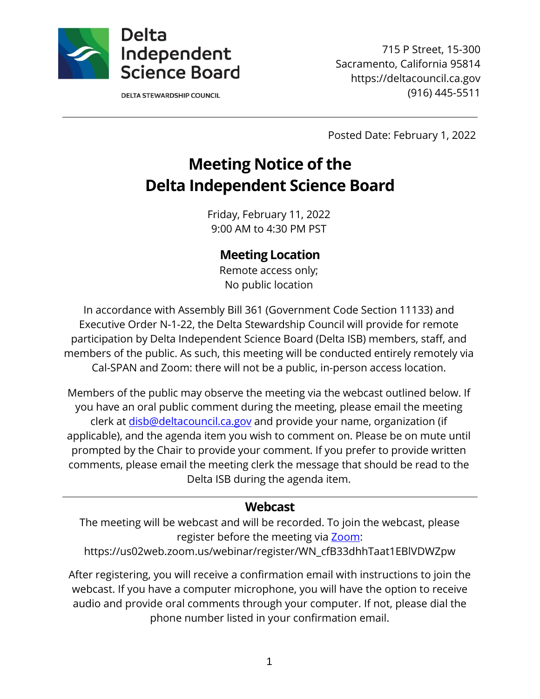

**DELTA STEWARDSHIP COUNCIL** 

715 P Street, 15-300 Sacramento, California 95814 https://deltacouncil.ca.gov (916) 445-5511

Posted Date: February 1, 2022

# **Meeting Notice of the Delta Independent Science Board**

Friday, February 11, 2022 9:00 AM to 4:30 PM PST

# **Meeting Location**

Remote access only; No public location

In accordance with Assembly Bill 361 (Government Code Section 11133) and Executive Order N-1-22, the Delta Stewardship Council will provide for remote participation by Delta Independent Science Board (Delta ISB) members, staff, and members of the public. As such, this meeting will be conducted entirely remotely via Cal-SPAN and Zoom: there will not be a public, in-person access location.

Members of the public may observe the meeting via the webcast outlined below. If you have an oral public comment during the meeting, please email the meeting clerk at [disb@deltacouncil.ca.gov](mailto:disb@deltacouncil.ca.gov) and provide your name, organization (if applicable), and the agenda item you wish to comment on. Please be on mute until prompted by the Chair to provide your comment. If you prefer to provide written comments, please email the meeting clerk the message that should be read to the Delta ISB during the agenda item.

#### **Webcast**

The meeting will be webcast and will be recorded. To join the webcast, please register before the meeting via [Zoom:](https://us02web.zoom.us/webinar/register/WN_cfB33dhhTaat1EBlVDWZpw)

https://us02web.zoom.us/webinar/register/WN\_cfB33dhhTaat1EBlVDWZpw

After registering, you will receive a confirmation email with instructions to join the webcast. If you have a computer microphone, you will have the option to receive audio and provide oral comments through your computer. If not, please dial the phone number listed in your confirmation email.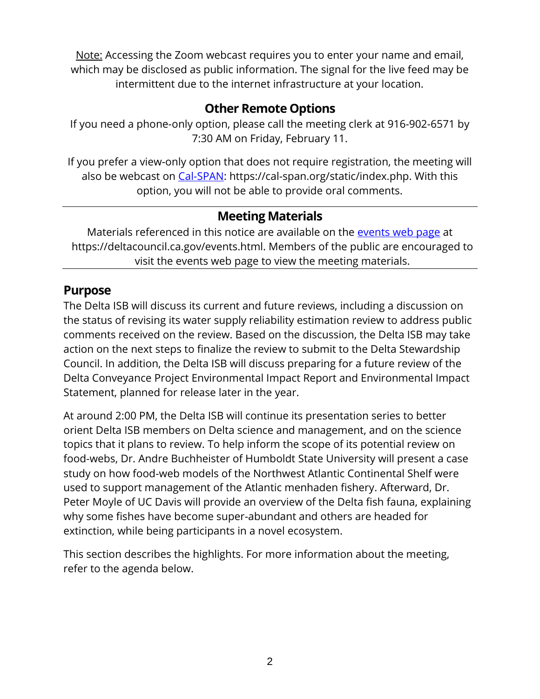Note: Accessing the Zoom webcast requires you to enter your name and email, which may be disclosed as public information. The signal for the live feed may be intermittent due to the internet infrastructure at your location.

# **Other Remote Options**

If you need a phone-only option, please call the meeting clerk at 916-902-6571 by 7:30 AM on Friday, February 11.

If you prefer a view-only option that does not require registration, the meeting will also be webcast on [Cal-SPAN:](https://cal-span.org/static/index.php) https://cal-span.org/static/index.php. With this option, you will not be able to provide oral comments.

### **Meeting Materials**

Materials referenced in this notice are available on the [events web page](https://deltacouncil.ca.gov/events.html) at https://deltacouncil.ca.gov/events.html. Members of the public are encouraged to visit the events web page to view the meeting materials.

### **Purpose**

The Delta ISB will discuss its current and future reviews, including a discussion on the status of revising its water supply reliability estimation review to address public comments received on the review. Based on the discussion, the Delta ISB may take action on the next steps to finalize the review to submit to the Delta Stewardship Council. In addition, the Delta ISB will discuss preparing for a future review of the Delta Conveyance Project Environmental Impact Report and Environmental Impact Statement, planned for release later in the year.

At around 2:00 PM, the Delta ISB will continue its presentation series to better orient Delta ISB members on Delta science and management, and on the science topics that it plans to review. To help inform the scope of its potential review on food-webs, Dr. Andre Buchheister of Humboldt State University will present a case study on how food-web models of the Northwest Atlantic Continental Shelf were used to support management of the Atlantic menhaden fishery. Afterward, Dr. Peter Moyle of UC Davis will provide an overview of the Delta fish fauna, explaining why some fishes have become super-abundant and others are headed for extinction, while being participants in a novel ecosystem.

This section describes the highlights. For more information about the meeting, refer to the agenda below.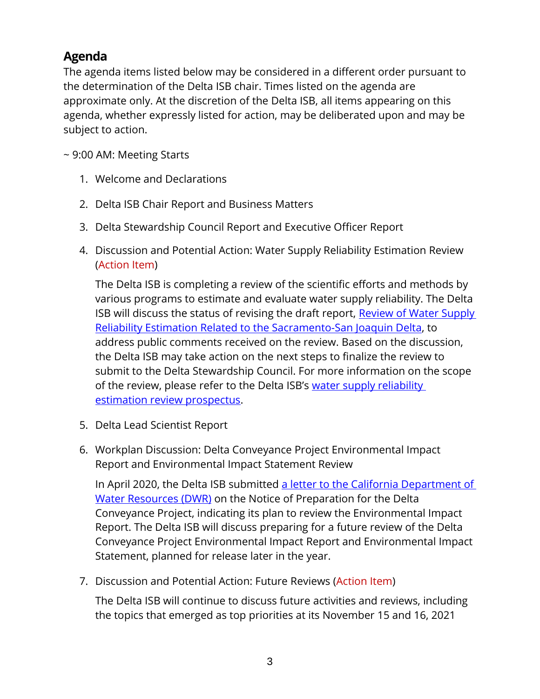# **Agenda**

The agenda items listed below may be considered in a different order pursuant to the determination of the Delta ISB chair. Times listed on the agenda are approximate only. At the discretion of the Delta ISB, all items appearing on this agenda, whether expressly listed for action, may be deliberated upon and may be subject to action.

~ 9:00 AM: Meeting Starts

- 1. Welcome and Declarations
- 2. Delta ISB Chair Report and Business Matters
- 3. Delta Stewardship Council Report and Executive Officer Report
- 4. Discussion and Potential Action: Water Supply Reliability Estimation Review (Action Item)

The Delta ISB is completing a review of the scientific efforts and methods by various programs to estimate and evaluate water supply reliability. The Delta ISB will discuss the status of revising the draft report, Review of Water Supply [Reliability Estimation Related to the Sacramento-San Joaquin Delta,](https://deltacouncil.ca.gov/pdf/isb/meeting-materials/2021-09-01-isb-draft-water-supply-review.pdf) to address public comments received on the review. Based on the discussion, the Delta ISB may take action on the next steps to finalize the review to submit to the Delta Stewardship Council. For more information on the scope of the review, please refer to the Delta ISB's water supply reliability [estimation review prospectus.](http://deltacouncil.ca.gov/pdf/isb/products/2018-04-03-isb-water-supply-prospectus.pdf)

- 5. Delta Lead Scientist Report
- 6. Workplan Discussion: Delta Conveyance Project Environmental Impact Report and Environmental Impact Statement Review

In April 2020, the Delta ISB submitted a letter to the California Department of [Water Resources](https://deltacouncil.ca.gov/pdf/isb/products/2020-04-17-isb-letter-delta-conveyance-notice-of-preparation.pdf) (DWR) on the Notice of Preparation for the Delta Conveyance Project, indicating its plan to review the Environmental Impact Report. The Delta ISB will discuss preparing for a future review of the Delta Conveyance Project Environmental Impact Report and Environmental Impact Statement, planned for release later in the year.

7. Discussion and Potential Action: Future Reviews (Action Item)

The Delta ISB will continue to discuss future activities and reviews, including the topics that emerged as top priorities at its November 15 and 16, 2021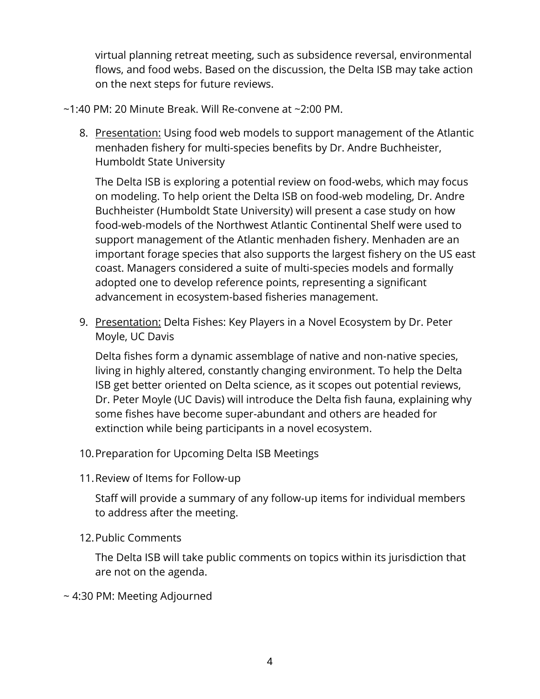virtual planning retreat meeting, such as subsidence reversal, environmental flows, and food webs. Based on the discussion, the Delta ISB may take action on the next steps for future reviews.

~1:40 PM: 20 Minute Break. Will Re-convene at ~2:00 PM.

8. Presentation: Using food web models to support management of the Atlantic menhaden fishery for multi-species benefits by Dr. Andre Buchheister, Humboldt State University

The Delta ISB is exploring a potential review on food-webs, which may focus on modeling. To help orient the Delta ISB on food-web modeling, Dr. Andre Buchheister (Humboldt State University) will present a case study on how food-web-models of the Northwest Atlantic Continental Shelf were used to support management of the Atlantic menhaden fishery. Menhaden are an important forage species that also supports the largest fishery on the US east coast. Managers considered a suite of multi-species models and formally adopted one to develop reference points, representing a significant advancement in ecosystem-based fisheries management.

9. Presentation: Delta Fishes: Key Players in a Novel Ecosystem by Dr. Peter Moyle, UC Davis

Delta fishes form a dynamic assemblage of native and non-native species, living in highly altered, constantly changing environment. To help the Delta ISB get better oriented on Delta science, as it scopes out potential reviews, Dr. Peter Moyle (UC Davis) will introduce the Delta fish fauna, explaining why some fishes have become super-abundant and others are headed for extinction while being participants in a novel ecosystem.

- 10.Preparation for Upcoming Delta ISB Meetings
- 11.Review of Items for Follow-up

Staff will provide a summary of any follow-up items for individual members to address after the meeting.

12.Public Comments

The Delta ISB will take public comments on topics within its jurisdiction that are not on the agenda.

~ 4:30 PM: Meeting Adjourned